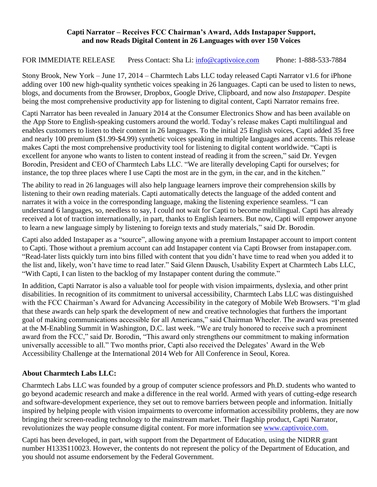#### **Capti Narrator – Receives FCC Chairman's Award, Adds Instapaper Support, and now Reads Digital Content in 26 Languages with over 150 Voices**

### FOR IMMEDIATE RELEASE Press Contact: Sha Li: [info@captivoice.com](mailto:info@captivoice.com) Phone: 1-888-533-7884

Stony Brook, New York – June 17, 2014 – Charmtech Labs LLC today released Capti Narrator v1.6 for iPhone adding over 100 new high-quality synthetic voices speaking in 26 languages. Capti can be used to listen to news, blogs, and documents from the Browser, Dropbox, Google Drive, Clipboard, and now also *Instapaper*. Despite being the most comprehensive productivity app for listening to digital content, Capti Narrator remains free.

Capti Narrator has been revealed in January 2014 at the Consumer Electronics Show and has been available on the App Store to English-speaking customers around the world. Today's release makes Capti multilingual and enables customers to listen to their content in 26 languages. To the initial 25 English voices, Capti added 35 free and nearly 100 premium (\$1.99-\$4.99) synthetic voices speaking in multiple languages and accents. This release makes Capti the most comprehensive productivity tool for listening to digital content worldwide. "Capti is excellent for anyone who wants to listen to content instead of reading it from the screen," said Dr. Yevgen Borodin, President and CEO of Charmtech Labs LLC. "We are literally developing Capti for ourselves; for instance, the top three places where I use Capti the most are in the gym, in the car, and in the kitchen."

The ability to read in 26 languages will also help language learners improve their comprehension skills by listening to their own reading materials. Capti automatically detects the language of the added content and narrates it with a voice in the corresponding language, making the listening experience seamless. "I can understand 6 languages, so, needless to say, I could not wait for Capti to become multilingual. Capti has already received a lot of traction internationally, in part, thanks to English learners. But now, Capti will empower anyone to learn a new language simply by listening to foreign texts and study materials," said Dr. Borodin.

Capti also added Instapaper as a "source", allowing anyone with a premium Instapaper account to import content to Capti. Those without a premium account can add Instapaper content via Capti Browser from instapaper.com. "Read-later lists quickly turn into bins filled with content that you didn't have time to read when you added it to the list and, likely, won't have time to read later." Said Glenn Dausch, Usability Expert at Charmtech Labs LLC, "With Capti, I can listen to the backlog of my Instapaper content during the commute."

In addition, Capti Narrator is also a valuable tool for people with vision impairments, dyslexia, and other print disabilities. In recognition of its commitment to universal accessibility, Charmtech Labs LLC was distinguished with the FCC Chairman's Award for Advancing Accessibility in the category of Mobile Web Browsers. "I'm glad that these awards can help spark the development of new and creative technologies that furthers the important goal of making communications accessible for all Americans," said Chairman Wheeler. The award was presented at the M-Enabling Summit in Washington, D.C. last week. "We are truly honored to receive such a prominent award from the FCC," said Dr. Borodin, "This award only strengthens our commitment to making information universally accessible to all." Two months prior, Capti also received the Delegates' Award in the Web Accessibility Challenge at the International 2014 Web for All Conference in Seoul, Korea.

# **About Charmtech Labs LLC:**

Charmtech Labs LLC was founded by a group of computer science professors and Ph.D. students who wanted to go beyond academic research and make a difference in the real world. Armed with years of cutting-edge research and software-development experience, they set out to remove barriers between people and information. Initially inspired by helping people with vision impairments to overcome information accessibility problems, they are now bringing their screen-reading technology to the mainstream market. Their flagship product, Capti Narrator, revolutionizes the way people consume digital content. For more information see [www.captivoice.com.](http://www.captivoice.com/)

Capti has been developed, in part, with support from the Department of Education, using the NIDRR grant number H133S110023. However, the contents do not represent the policy of the Department of Education, and you should not assume endorsement by the Federal Government.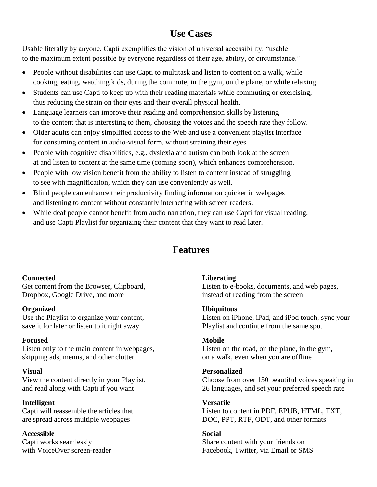# **Use Cases**

Usable literally by anyone, Capti exemplifies the vision of universal accessibility: "usable to the maximum extent possible by everyone regardless of their age, ability, or circumstance."

- People without disabilities can use Capti to multitask and listen to content on a walk, while cooking, eating, watching kids, during the commute, in the gym, on the plane, or while relaxing.
- Students can use Capti to keep up with their reading materials while commuting or exercising, thus reducing the strain on their eyes and their overall physical health.
- Language learners can improve their reading and comprehension skills by listening to the content that is interesting to them, choosing the voices and the speech rate they follow.
- Older adults can enjoy simplified access to the Web and use a convenient playlist interface for consuming content in audio-visual form, without straining their eyes.
- People with cognitive disabilities, e.g., dyslexia and autism can both look at the screen at and listen to content at the same time (coming soon), which enhances comprehension.
- People with low vision benefit from the ability to listen to content instead of struggling to see with magnification, which they can use conveniently as well.
- Blind people can enhance their productivity finding information quicker in webpages and listening to content without constantly interacting with screen readers.
- While deaf people cannot benefit from audio narration, they can use Capti for visual reading, and use Capti Playlist for organizing their content that they want to read later.

# **Features**

# **Connected**

Get content from the Browser, Clipboard, Dropbox, Google Drive, and more

# **Organized**

Use the Playlist to organize your content, save it for later or listen to it right away

# **Focused**

Listen only to the main content in webpages, skipping ads, menus, and other clutter

#### **Visual**

View the content directly in your Playlist, and read along with Capti if you want

#### **Intelligent**

Capti will reassemble the articles that are spread across multiple webpages

**Accessible** Capti works seamlessly with VoiceOver screen-reader

# **Liberating**

Listen to e-books, documents, and web pages, instead of reading from the screen

#### **Ubiquitous**

Listen on iPhone, iPad, and iPod touch; sync your Playlist and continue from the same spot

#### **Mobile**

Listen on the road, on the plane, in the gym, on a walk, even when you are offline

#### **Personalized**

Choose from over 150 beautiful voices speaking in 26 languages, and set your preferred speech rate

#### **Versatile** Listen to content in PDF, EPUB, HTML, TXT, DOC, PPT, RTF, ODT, and other formats

# **Social**

Share content with your friends on Facebook, Twitter, via Email or SMS